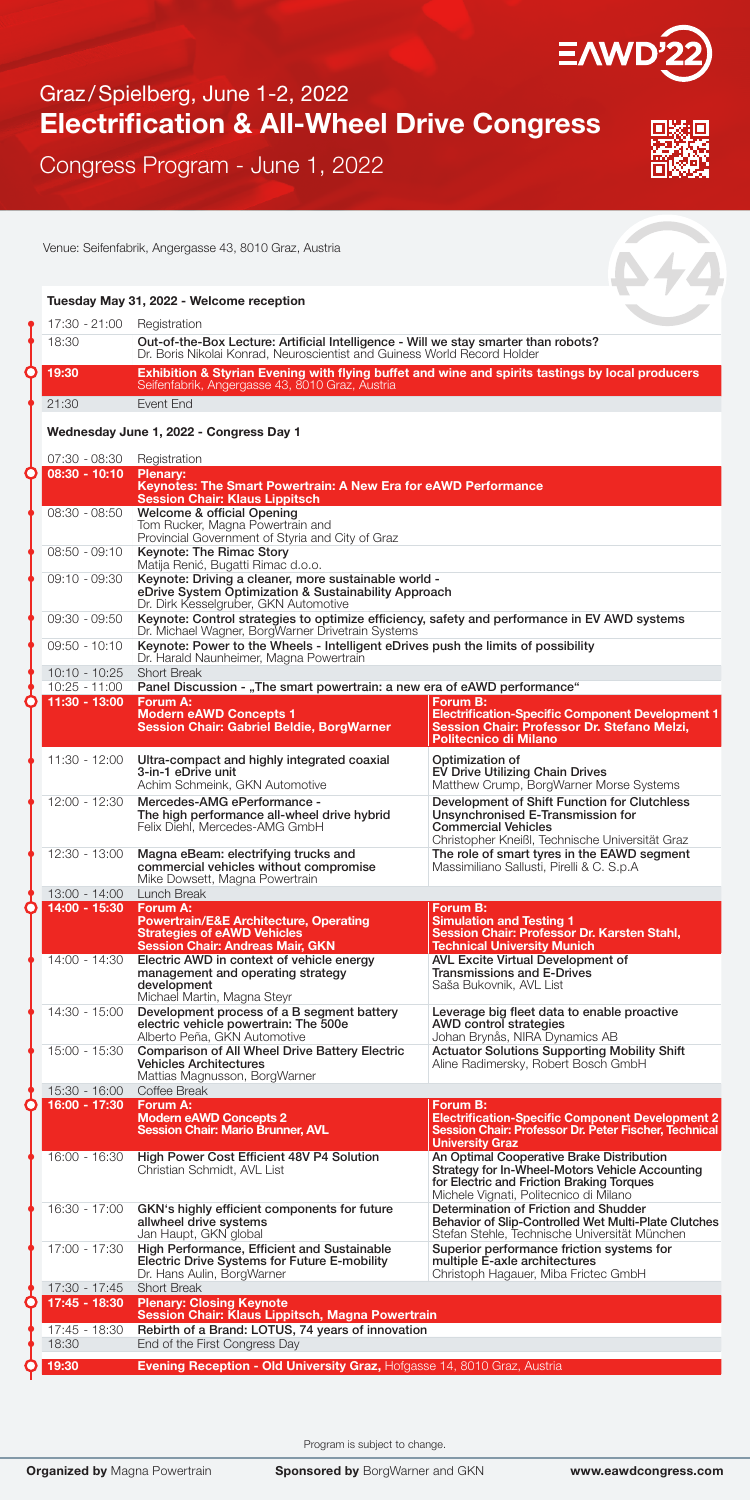

## Graz /Spielberg, June 1-2, 2022 Electrification & All-Wheel Drive Congress

Congress Program - June 1, 2022

Venue: Seifenfabrik, Angergasse 43, 8010 Graz, Austria

Tuesday May 31, 2022 - Welcome reception



| 17:30 - 21:00                    | Registration                                                                                                                                                    |                                                                                                                                                                                     |  |  |  |  |
|----------------------------------|-----------------------------------------------------------------------------------------------------------------------------------------------------------------|-------------------------------------------------------------------------------------------------------------------------------------------------------------------------------------|--|--|--|--|
| 18:30                            | Out-of-the-Box Lecture: Artificial Intelligence - Will we stay smarter than robots?<br>Dr. Boris Nikolai Konrad, Neuroscientist and Guiness World Record Holder |                                                                                                                                                                                     |  |  |  |  |
| 19:30                            | Exhibition & Styrian Evening with flying buffet and wine and spirits tastings by local producers<br>Seifenfabrik, Angergasse 43, 8010 Graz, Austria             |                                                                                                                                                                                     |  |  |  |  |
| 21:30                            | Event End                                                                                                                                                       |                                                                                                                                                                                     |  |  |  |  |
|                                  | Wednesday June 1, 2022 - Congress Day 1                                                                                                                         |                                                                                                                                                                                     |  |  |  |  |
| 07:30 - 08:30<br>$08:30 - 10:10$ | Registration                                                                                                                                                    |                                                                                                                                                                                     |  |  |  |  |
|                                  | <b>Plenary:</b><br>Keynotes: The Smart Powertrain: A New Era for eAWD Performance<br><b>Session Chair: Klaus Lippitsch</b>                                      |                                                                                                                                                                                     |  |  |  |  |
| $08:30 - 08:50$                  | Welcome & official Opening<br>Tom Rucker, Magna Powertrain and<br>Provincial Government of Styria and City of Graz                                              |                                                                                                                                                                                     |  |  |  |  |
| $08:50 - 09:10$                  | Keynote: The Rimac Story<br>Matija Renić, Bugatti Rimac d.o.o.                                                                                                  |                                                                                                                                                                                     |  |  |  |  |
| 09:10 - 09:30                    | Keynote: Driving a cleaner, more sustainable world -<br>eDrive System Optimization & Sustainability Approach<br>Dr. Dirk Kesselgruber, GKN Automotive           |                                                                                                                                                                                     |  |  |  |  |
| 09:30 - 09:50                    | Keynote: Control strategies to optimize efficiency, safety and performance in EV AWD systems<br>Dr. Michael Wagner, Borg Warner Drivetrain Systems              |                                                                                                                                                                                     |  |  |  |  |
| $09:50 - 10:10$                  | Keynote: Power to the Wheels - Intelligent eDrives push the limits of possibility<br>Dr. Harald Naunheimer, Magna Powertrain                                    |                                                                                                                                                                                     |  |  |  |  |
| $10:10 - 10:25$                  | <b>Short Break</b><br>Panel Discussion - "The smart powertrain: a new era of eAWD performance"                                                                  |                                                                                                                                                                                     |  |  |  |  |
| 10:25 - 11:00<br>$11:30 - 13:00$ | Forum A:                                                                                                                                                        | Forum B:                                                                                                                                                                            |  |  |  |  |
|                                  | <b>Modern eAWD Concepts 1</b><br><b>Session Chair: Gabriel Beldie, BorgWarner</b>                                                                               | <b>Electrification-Specific Component Development 1</b><br>Session Chair: Professor Dr. Stefano Melzi.<br>Politecnico di Milano                                                     |  |  |  |  |
| 11:30 - 12:00                    | Ultra-compact and highly integrated coaxial<br>3-in-1 eDrive unit<br>Achim Schmeink, GKN Automotive                                                             | Optimization of<br>EV Drive Utilizing Chain Drives<br>Matthew Crump, BorgWarner Morse Systems                                                                                       |  |  |  |  |
| 12:00 - 12:30                    | Mercedes-AMG ePerformance -<br>The high performance all-wheel drive hybrid<br>Felix Diehl. Mercedes-AMG GmbH                                                    | Development of Shift Function for Clutchless<br>Unsynchronised E-Transmission for<br><b>Commercial Vehicles</b><br>Christopher Kneißl, Technische Universität Graz                  |  |  |  |  |
| 12:30 - 13:00<br>13:00 - 14:00   | Magna eBeam: electrifying trucks and<br>commercial vehicles without compromise<br>Mike Dowsett, Magna Powertrain<br>Lunch Break                                 | The role of smart tyres in the EAWD segment<br>Massimiliano Sallusti, Pirelli & C. S.p.A                                                                                            |  |  |  |  |
| 14:00 - 15:30                    | Forum A:                                                                                                                                                        | Forum B:                                                                                                                                                                            |  |  |  |  |
|                                  | <b>Powertrain/E&amp;E Architecture, Operating</b><br><b>Strategies of eAWD Vehicles</b><br><b>Session Chair: Andreas Mair, GKN</b>                              | <b>Simulation and Testing 1</b><br>Session Chair: Professor Dr. Karsten Stahl,<br><b>Technical University Munich</b>                                                                |  |  |  |  |
| $14:00 - 14:30$                  | Electric AWD in context of vehicle energy<br>management and operating strategy<br>development<br>Michael Martin, Magna Steyr                                    | AVL Excite Virtual Development of<br><b>Transmissions and E-Drives</b><br>Saša Bukovnik, AVL List                                                                                   |  |  |  |  |
| 14:30 - 15:00                    | Development process of a B segment battery<br>electric vehicle powertrain: The 500e<br>Alberto Peña, GKN Automotive                                             | Leverage big fleet data to enable proactive<br>AWD control strategies<br>Johan Brynås, NIRA Dynamics AB                                                                             |  |  |  |  |
| 15:00 - 15:30                    | <b>Comparison of All Wheel Drive Battery Electric</b><br><b>Vehicles Architectures</b><br>Mattias Magnusson, BorgWarner                                         | <b>Actuator Solutions Supporting Mobility Shift</b><br>Aline Radimersky, Robert Bosch GmbH                                                                                          |  |  |  |  |
| 15:30 - 16:00<br>16:00 - 17:30   | Coffee Break<br>Forum A:                                                                                                                                        | Forum B:                                                                                                                                                                            |  |  |  |  |
|                                  | <b>Modern eAWD Concepts 2</b><br><b>Session Chair: Mario Brunner, AVL</b>                                                                                       | <b>Electrification-Specific Component Development 2</b><br>Session Chair: Professor Dr. Peter Fischer, Technical<br><b>University Graz</b>                                          |  |  |  |  |
| 16:00 - 16:30                    | High Power Cost Efficient 48V P4 Solution<br>Christian Schmidt, AVL List                                                                                        | An Optimal Cooperative Brake Distribution<br>Strategy for In-Wheel-Motors Vehicle Accounting<br>for Electric and Friction Braking Torques<br>Michele Vignati, Politecnico di Milano |  |  |  |  |
| 16:30 - 17:00                    | GKN's highly efficient components for future<br>allwheel drive systems<br>Jan Haupt, GKN global                                                                 | Determination of Friction and Shudder<br>Behavior of Slip-Controlled Wet Multi-Plate Clutches<br>Stefan Stehle, Technische Universität München                                      |  |  |  |  |
| 17:00 - 17:30                    | High Performance, Efficient and Sustainable<br>Electric Drive Systems for Future E-mobility<br>Dr. Hans Aulin, BorgWarner                                       | Superior performance friction systems for<br>multiple E-axle architectures<br>Christoph Hagauer, Miba Frictec GmbH                                                                  |  |  |  |  |
| 17:30 - 17:45                    | <b>Short Break</b>                                                                                                                                              |                                                                                                                                                                                     |  |  |  |  |
| 17:45 - 18:30                    | <b>Plenary: Closing Keynote</b><br>Session Chair: Klaus Lippitsch, Magna Powertrain                                                                             |                                                                                                                                                                                     |  |  |  |  |
| 17:45 - 18:30                    | Rebirth of a Brand: LOTUS, 74 years of innovation                                                                                                               |                                                                                                                                                                                     |  |  |  |  |
| 18:30                            | End of the First Congress Day                                                                                                                                   |                                                                                                                                                                                     |  |  |  |  |